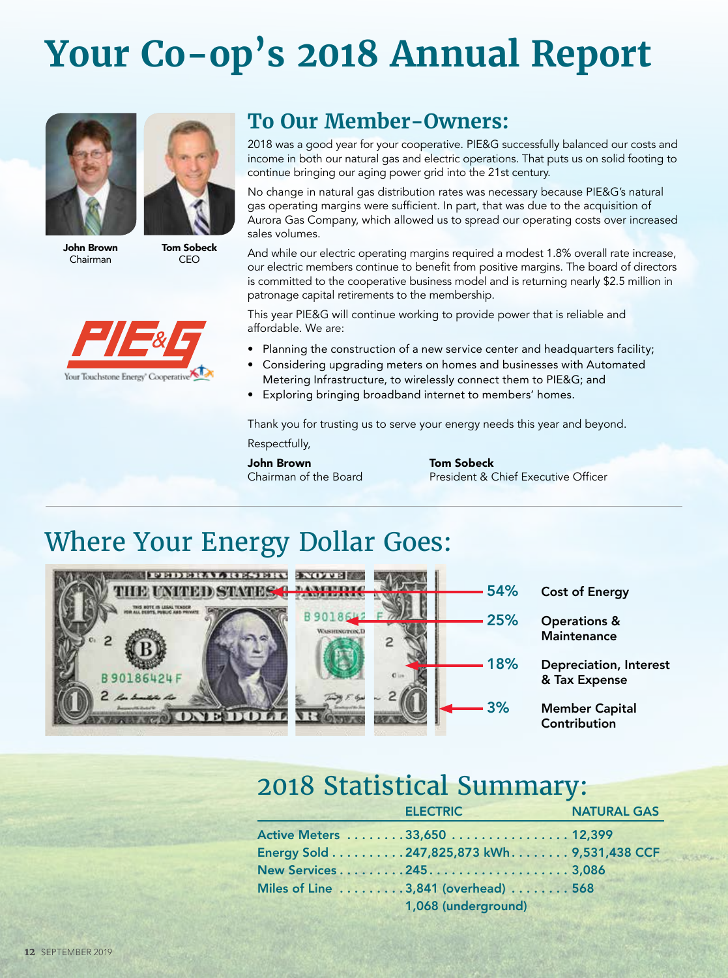# **Your Co-op's 2018 Annual Report**





John Brown Chairman

Tom Sobeck CEO



#### **To Our Member-Owners:**

2018 was a good year for your cooperative. PIE&G successfully balanced our costs and income in both our natural gas and electric operations. That puts us on solid footing to continue bringing our aging power grid into the 21st century.

No change in natural gas distribution rates was necessary because PIE&G's natural gas operating margins were sufficient. In part, that was due to the acquisition of Aurora Gas Company, which allowed us to spread our operating costs over increased sales volumes.

And while our electric operating margins required a modest 1.8% overall rate increase, our electric members continue to benefit from positive margins. The board of directors is committed to the cooperative business model and is returning nearly \$2.5 million in patronage capital retirements to the membership.

This year PIE&G will continue working to provide power that is reliable and affordable. We are:

- Planning the construction of a new service center and headquarters facility;
- Considering upgrading meters on homes and businesses with Automated Metering Infrastructure, to wirelessly connect them to PIE&G; and
- Exploring bringing broadband internet to members' homes.

Thank you for trusting us to serve your energy needs this year and beyond. Respectfully,

**John Brown Tom Sobeck**<br>Chairman of the Board President & C

President & Chief Executive Officer

### Where Your Energy Dollar Goes:



#### 2018 Statistical Summary:

| <b>ELECTRIC</b>                            | <b>NATURAL GAS</b> |
|--------------------------------------------|--------------------|
| Active Meters 33,650 12,399                |                    |
| Energy Sold 247,825,873 kWh. 9,531,438 CCF |                    |
| New Services2453,086                       |                    |
| Miles of Line 3,841 (overhead) 568         |                    |
| 1,068 (underground)                        |                    |